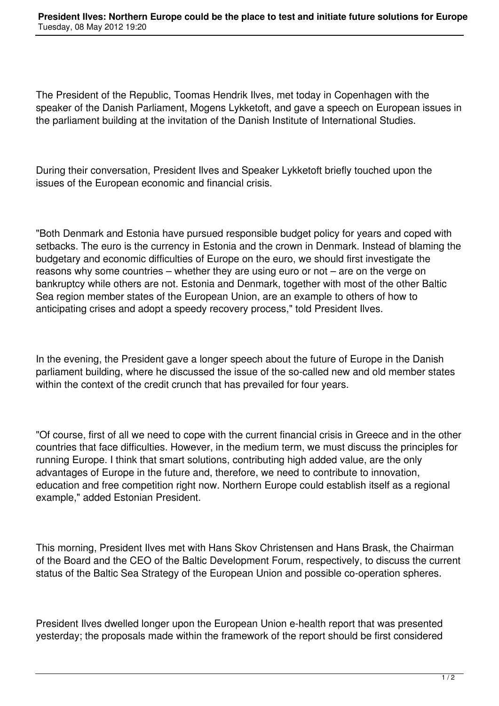The President of the Republic, Toomas Hendrik Ilves, met today in Copenhagen with the speaker of the Danish Parliament, Mogens Lykketoft, and gave a speech on European issues in the parliament building at the invitation of the Danish Institute of International Studies.

During their conversation, President Ilves and Speaker Lykketoft briefly touched upon the issues of the European economic and financial crisis.

"Both Denmark and Estonia have pursued responsible budget policy for years and coped with setbacks. The euro is the currency in Estonia and the crown in Denmark. Instead of blaming the budgetary and economic difficulties of Europe on the euro, we should first investigate the reasons why some countries – whether they are using euro or not – are on the verge on bankruptcy while others are not. Estonia and Denmark, together with most of the other Baltic Sea region member states of the European Union, are an example to others of how to anticipating crises and adopt a speedy recovery process," told President Ilves.

In the evening, the President gave a longer speech about the future of Europe in the Danish parliament building, where he discussed the issue of the so-called new and old member states within the context of the credit crunch that has prevailed for four years.

"Of course, first of all we need to cope with the current financial crisis in Greece and in the other countries that face difficulties. However, in the medium term, we must discuss the principles for running Europe. I think that smart solutions, contributing high added value, are the only advantages of Europe in the future and, therefore, we need to contribute to innovation, education and free competition right now. Northern Europe could establish itself as a regional example," added Estonian President.

This morning, President Ilves met with Hans Skov Christensen and Hans Brask, the Chairman of the Board and the CEO of the Baltic Development Forum, respectively, to discuss the current status of the Baltic Sea Strategy of the European Union and possible co-operation spheres.

President Ilves dwelled longer upon the European Union e-health report that was presented yesterday; the proposals made within the framework of the report should be first considered